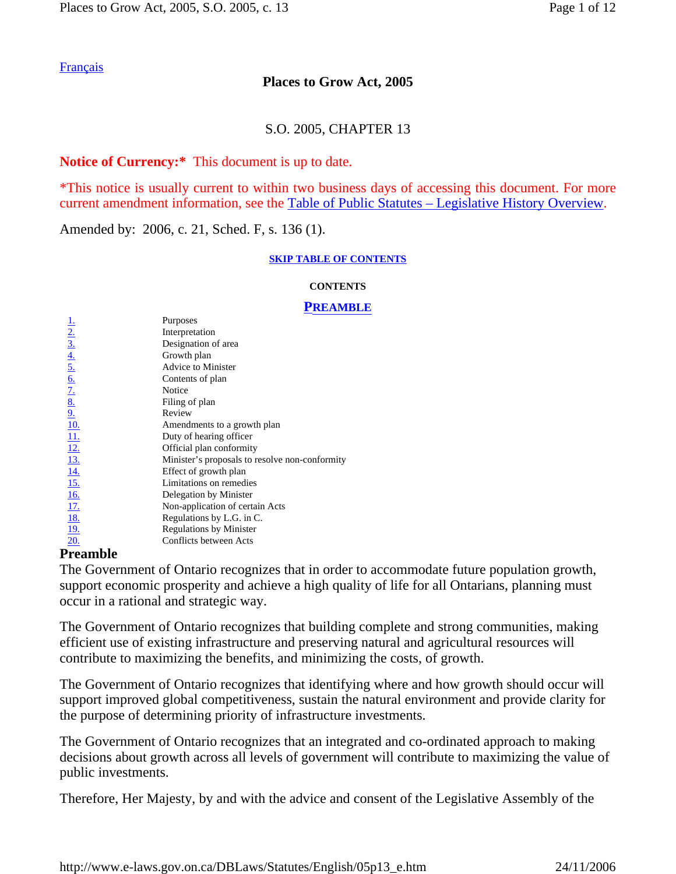## **Places to Grow Act, 2005**

### S.O. 2005, CHAPTER 13

### **Notice of Currency:\*** This document is up to date.

\*This notice is usually current to within two business days of accessing this document. For more current amendment information, see the Table of Public Statutes – Legislative History Overview.

Amended by: 2006, c. 21, Sched. F, s. 136 (1).

#### **SKIP TABLE OF CONTENTS**

#### **CONTENTS**

#### **PREAMBLE**

|                                                                                                                                                       | Purposes                                       |
|-------------------------------------------------------------------------------------------------------------------------------------------------------|------------------------------------------------|
| $\frac{1}{2}$<br>$\frac{2}{3}$<br>$\frac{4}{4}$<br>$\frac{5}{5}$<br>$\frac{6}{1}$<br>$\frac{7}{1}$<br>$\frac{8}{1}$<br>$\frac{9}{1}$<br>$\frac{1}{1}$ | Interpretation                                 |
|                                                                                                                                                       | Designation of area                            |
|                                                                                                                                                       | Growth plan                                    |
|                                                                                                                                                       | <b>Advice to Minister</b>                      |
|                                                                                                                                                       | Contents of plan                               |
|                                                                                                                                                       | Notice                                         |
|                                                                                                                                                       | Filing of plan                                 |
|                                                                                                                                                       | Review                                         |
|                                                                                                                                                       | Amendments to a growth plan                    |
|                                                                                                                                                       | Duty of hearing officer                        |
| <u>12.</u>                                                                                                                                            | Official plan conformity                       |
| <u>13.</u>                                                                                                                                            | Minister's proposals to resolve non-conformity |
| <u>14.</u>                                                                                                                                            | Effect of growth plan                          |
| <u>15.</u>                                                                                                                                            | Limitations on remedies                        |
| <u>16.</u>                                                                                                                                            | Delegation by Minister                         |
| <u>17.</u>                                                                                                                                            | Non-application of certain Acts                |
| <u>18.</u>                                                                                                                                            | Regulations by L.G. in C.                      |
| <u>19.</u>                                                                                                                                            | <b>Regulations by Minister</b>                 |
| 20.                                                                                                                                                   | Conflicts between Acts                         |

### **Preamble**

The Government of Ontario recognizes that in order to accommodate future population growth, support economic prosperity and achieve a high quality of life for all Ontarians, planning must occur in a rational and strategic way.

The Government of Ontario recognizes that building complete and strong communities, making efficient use of existing infrastructure and preserving natural and agricultural resources will contribute to maximizing the benefits, and minimizing the costs, of growth.

The Government of Ontario recognizes that identifying where and how growth should occur will support improved global competitiveness, sustain the natural environment and provide clarity for the purpose of determining priority of infrastructure investments.

The Government of Ontario recognizes that an integrated and co-ordinated approach to making decisions about growth across all levels of government will contribute to maximizing the value of public investments.

Therefore, Her Majesty, by and with the advice and consent of the Legislative Assembly of the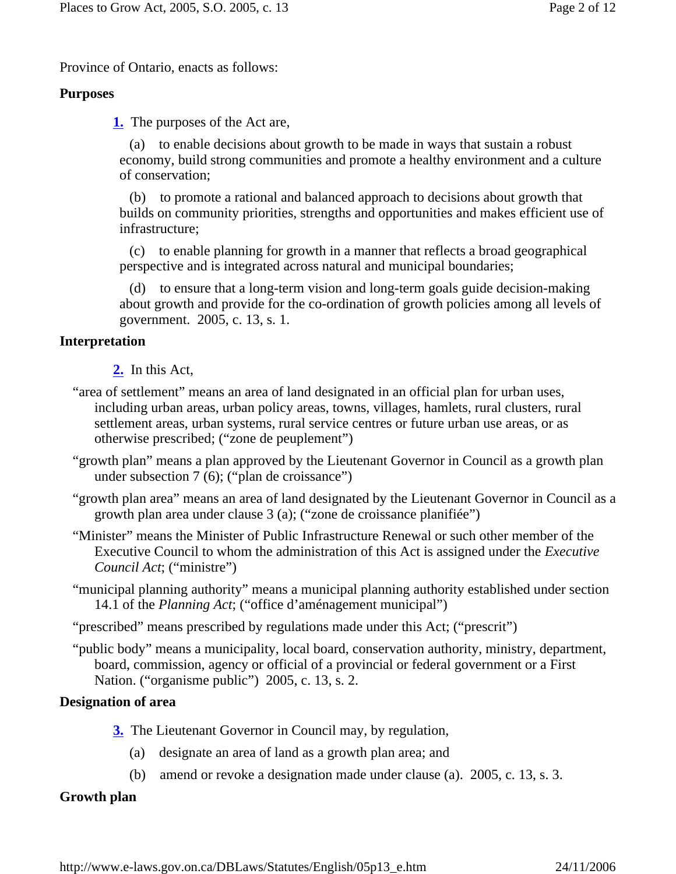Province of Ontario, enacts as follows:

### **Purposes**

**1.** The purposes of the Act are,

 (a) to enable decisions about growth to be made in ways that sustain a robust economy, build strong communities and promote a healthy environment and a culture of conservation;

 (b) to promote a rational and balanced approach to decisions about growth that builds on community priorities, strengths and opportunities and makes efficient use of infrastructure;

 (c) to enable planning for growth in a manner that reflects a broad geographical perspective and is integrated across natural and municipal boundaries;

 (d) to ensure that a long-term vision and long-term goals guide decision-making about growth and provide for the co-ordination of growth policies among all levels of government. 2005, c. 13, s. 1.

### **Interpretation**

**2.** In this Act,

- "area of settlement" means an area of land designated in an official plan for urban uses, including urban areas, urban policy areas, towns, villages, hamlets, rural clusters, rural settlement areas, urban systems, rural service centres or future urban use areas, or as otherwise prescribed; ("zone de peuplement")
- "growth plan" means a plan approved by the Lieutenant Governor in Council as a growth plan under subsection 7 (6); ("plan de croissance")
- "growth plan area" means an area of land designated by the Lieutenant Governor in Council as a growth plan area under clause 3 (a); ("zone de croissance planifiée")
- "Minister" means the Minister of Public Infrastructure Renewal or such other member of the Executive Council to whom the administration of this Act is assigned under the *Executive Council Act*; ("ministre")
- "municipal planning authority" means a municipal planning authority established under section 14.1 of the *Planning Act*; ("office d'aménagement municipal")

"prescribed" means prescribed by regulations made under this Act; ("prescrit")

"public body" means a municipality, local board, conservation authority, ministry, department, board, commission, agency or official of a provincial or federal government or a First Nation. ("organisme public") 2005, c. 13, s. 2.

### **Designation of area**

- **3.** The Lieutenant Governor in Council may, by regulation,
	- (a) designate an area of land as a growth plan area; and
	- (b) amend or revoke a designation made under clause (a). 2005, c. 13, s. 3.

## **Growth plan**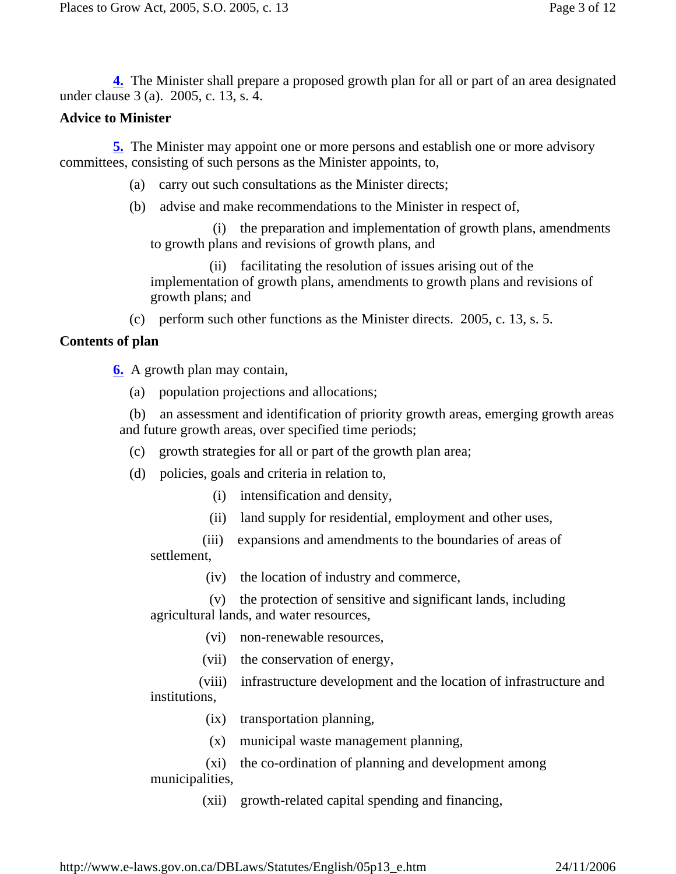**4.** The Minister shall prepare a proposed growth plan for all or part of an area designated under clause 3 (a). 2005, c. 13, s. 4.

### **Advice to Minister**

 **5.** The Minister may appoint one or more persons and establish one or more advisory committees, consisting of such persons as the Minister appoints, to,

- (a) carry out such consultations as the Minister directs;
- (b) advise and make recommendations to the Minister in respect of,

the preparation and implementation of growth plans, amendments to growth plans and revisions of growth plans, and

 (ii) facilitating the resolution of issues arising out of the implementation of growth plans, amendments to growth plans and revisions of growth plans; and

(c) perform such other functions as the Minister directs. 2005, c. 13, s. 5.

### **Contents of plan**

**6.** A growth plan may contain,

(a) population projections and allocations;

 (b) an assessment and identification of priority growth areas, emerging growth areas and future growth areas, over specified time periods;

- (c) growth strategies for all or part of the growth plan area;
- (d) policies, goals and criteria in relation to,
	- (i) intensification and density,
	- (ii) land supply for residential, employment and other uses,

 (iii) expansions and amendments to the boundaries of areas of settlement,

(iv) the location of industry and commerce,

 (v) the protection of sensitive and significant lands, including agricultural lands, and water resources,

(vi) non-renewable resources,

(vii) the conservation of energy,

 (viii) infrastructure development and the location of infrastructure and institutions,

(ix) transportation planning,

(x) municipal waste management planning,

 (xi) the co-ordination of planning and development among municipalities,

(xii) growth-related capital spending and financing,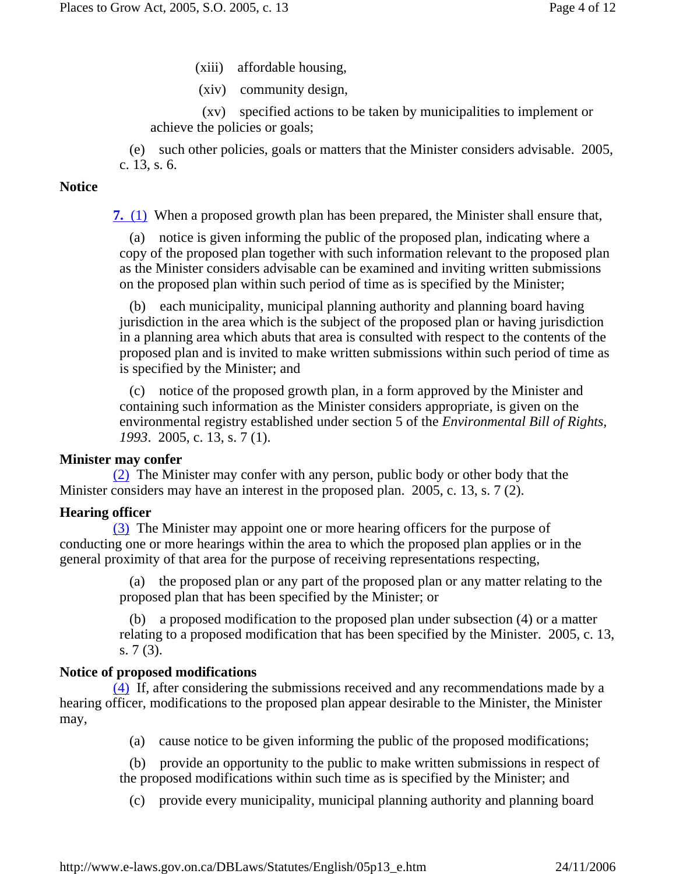- (xiii) affordable housing,
- (xiv) community design,

 (xv) specified actions to be taken by municipalities to implement or achieve the policies or goals;

 (e) such other policies, goals or matters that the Minister considers advisable. 2005, c. 13, s. 6.

### **Notice**

 **7.** (1) When a proposed growth plan has been prepared, the Minister shall ensure that,

 (a) notice is given informing the public of the proposed plan, indicating where a copy of the proposed plan together with such information relevant to the proposed plan as the Minister considers advisable can be examined and inviting written submissions on the proposed plan within such period of time as is specified by the Minister;

 (b) each municipality, municipal planning authority and planning board having jurisdiction in the area which is the subject of the proposed plan or having jurisdiction in a planning area which abuts that area is consulted with respect to the contents of the proposed plan and is invited to make written submissions within such period of time as is specified by the Minister; and

 (c) notice of the proposed growth plan, in a form approved by the Minister and containing such information as the Minister considers appropriate, is given on the environmental registry established under section 5 of the *Environmental Bill of Rights, 1993*. 2005, c. 13, s. 7 (1).

### **Minister may confer**

 (2) The Minister may confer with any person, public body or other body that the Minister considers may have an interest in the proposed plan. 2005, c. 13, s. 7 (2).

### **Hearing officer**

 (3) The Minister may appoint one or more hearing officers for the purpose of conducting one or more hearings within the area to which the proposed plan applies or in the general proximity of that area for the purpose of receiving representations respecting,

> (a) the proposed plan or any part of the proposed plan or any matter relating to the proposed plan that has been specified by the Minister; or

 (b) a proposed modification to the proposed plan under subsection (4) or a matter relating to a proposed modification that has been specified by the Minister. 2005, c. 13, s. 7 (3).

### **Notice of proposed modifications**

 (4) If, after considering the submissions received and any recommendations made by a hearing officer, modifications to the proposed plan appear desirable to the Minister, the Minister may,

(a) cause notice to be given informing the public of the proposed modifications;

 (b) provide an opportunity to the public to make written submissions in respect of the proposed modifications within such time as is specified by the Minister; and

(c) provide every municipality, municipal planning authority and planning board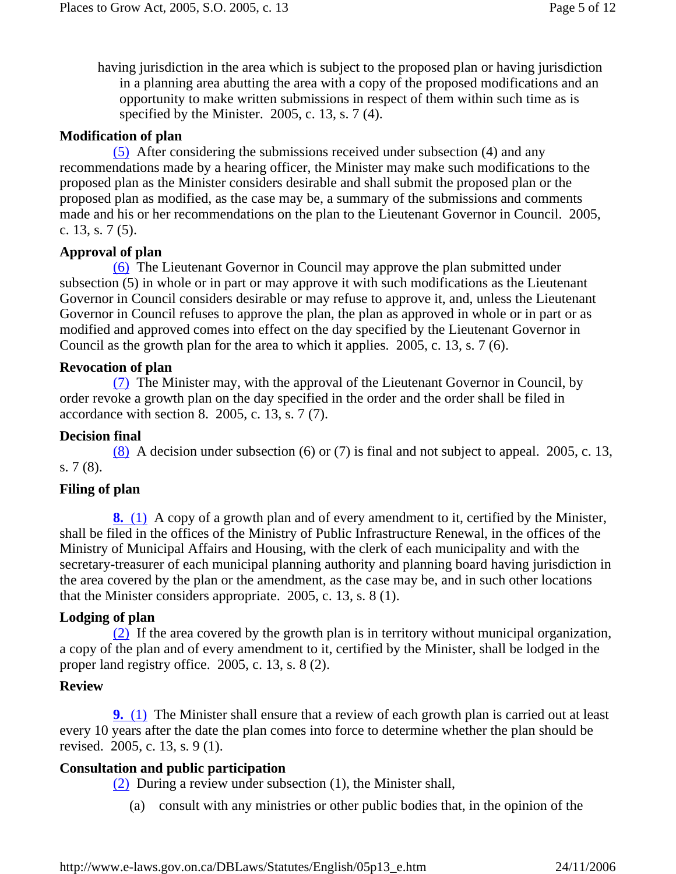having jurisdiction in the area which is subject to the proposed plan or having jurisdiction in a planning area abutting the area with a copy of the proposed modifications and an opportunity to make written submissions in respect of them within such time as is specified by the Minister. 2005, c. 13, s. 7 (4).

### **Modification of plan**

 (5) After considering the submissions received under subsection (4) and any recommendations made by a hearing officer, the Minister may make such modifications to the proposed plan as the Minister considers desirable and shall submit the proposed plan or the proposed plan as modified, as the case may be, a summary of the submissions and comments made and his or her recommendations on the plan to the Lieutenant Governor in Council. 2005, c. 13, s. 7 (5).

### **Approval of plan**

 (6) The Lieutenant Governor in Council may approve the plan submitted under subsection (5) in whole or in part or may approve it with such modifications as the Lieutenant Governor in Council considers desirable or may refuse to approve it, and, unless the Lieutenant Governor in Council refuses to approve the plan, the plan as approved in whole or in part or as modified and approved comes into effect on the day specified by the Lieutenant Governor in Council as the growth plan for the area to which it applies. 2005, c. 13, s. 7 (6).

### **Revocation of plan**

 (7) The Minister may, with the approval of the Lieutenant Governor in Council, by order revoke a growth plan on the day specified in the order and the order shall be filed in accordance with section 8. 2005, c. 13, s. 7 (7).

### **Decision final**

 (8) A decision under subsection (6) or (7) is final and not subject to appeal. 2005, c. 13, s. 7 (8).

### **Filing of plan**

 **8.** (1) A copy of a growth plan and of every amendment to it, certified by the Minister, shall be filed in the offices of the Ministry of Public Infrastructure Renewal, in the offices of the Ministry of Municipal Affairs and Housing, with the clerk of each municipality and with the secretary-treasurer of each municipal planning authority and planning board having jurisdiction in the area covered by the plan or the amendment, as the case may be, and in such other locations that the Minister considers appropriate. 2005, c. 13, s. 8 (1).

### **Lodging of plan**

 (2) If the area covered by the growth plan is in territory without municipal organization, a copy of the plan and of every amendment to it, certified by the Minister, shall be lodged in the proper land registry office. 2005, c. 13, s. 8 (2).

### **Review**

 **9.** (1) The Minister shall ensure that a review of each growth plan is carried out at least every 10 years after the date the plan comes into force to determine whether the plan should be revised. 2005, c. 13, s. 9 (1).

### **Consultation and public participation**

(2) During a review under subsection (1), the Minister shall,

(a) consult with any ministries or other public bodies that, in the opinion of the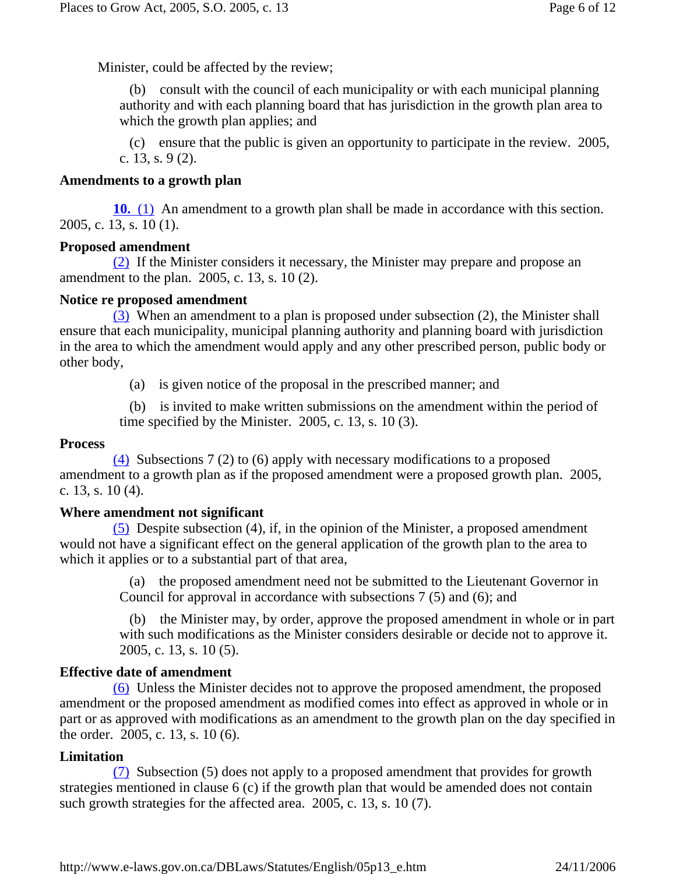Minister, could be affected by the review;

 (b) consult with the council of each municipality or with each municipal planning authority and with each planning board that has jurisdiction in the growth plan area to which the growth plan applies; and

 (c) ensure that the public is given an opportunity to participate in the review. 2005, c. 13, s. 9 (2).

### **Amendments to a growth plan**

 **10.** (1) An amendment to a growth plan shall be made in accordance with this section. 2005, c. 13, s. 10 (1).

### **Proposed amendment**

 (2) If the Minister considers it necessary, the Minister may prepare and propose an amendment to the plan. 2005, c. 13, s. 10 (2).

### **Notice re proposed amendment**

 (3) When an amendment to a plan is proposed under subsection (2), the Minister shall ensure that each municipality, municipal planning authority and planning board with jurisdiction in the area to which the amendment would apply and any other prescribed person, public body or other body,

(a) is given notice of the proposal in the prescribed manner; and

 (b) is invited to make written submissions on the amendment within the period of time specified by the Minister.  $2005$ , c. 13, s. 10 (3).

### **Process**

 (4) Subsections 7 (2) to (6) apply with necessary modifications to a proposed amendment to a growth plan as if the proposed amendment were a proposed growth plan. 2005, c. 13, s. 10 (4).

#### **Where amendment not significant**

 (5) Despite subsection (4), if, in the opinion of the Minister, a proposed amendment would not have a significant effect on the general application of the growth plan to the area to which it applies or to a substantial part of that area,

> (a) the proposed amendment need not be submitted to the Lieutenant Governor in Council for approval in accordance with subsections 7 (5) and (6); and

 (b) the Minister may, by order, approve the proposed amendment in whole or in part with such modifications as the Minister considers desirable or decide not to approve it. 2005, c. 13, s. 10 (5).

### **Effective date of amendment**

 (6) Unless the Minister decides not to approve the proposed amendment, the proposed amendment or the proposed amendment as modified comes into effect as approved in whole or in part or as approved with modifications as an amendment to the growth plan on the day specified in the order. 2005, c. 13, s. 10 (6).

### **Limitation**

 (7) Subsection (5) does not apply to a proposed amendment that provides for growth strategies mentioned in clause 6 (c) if the growth plan that would be amended does not contain such growth strategies for the affected area. 2005, c. 13, s. 10 (7).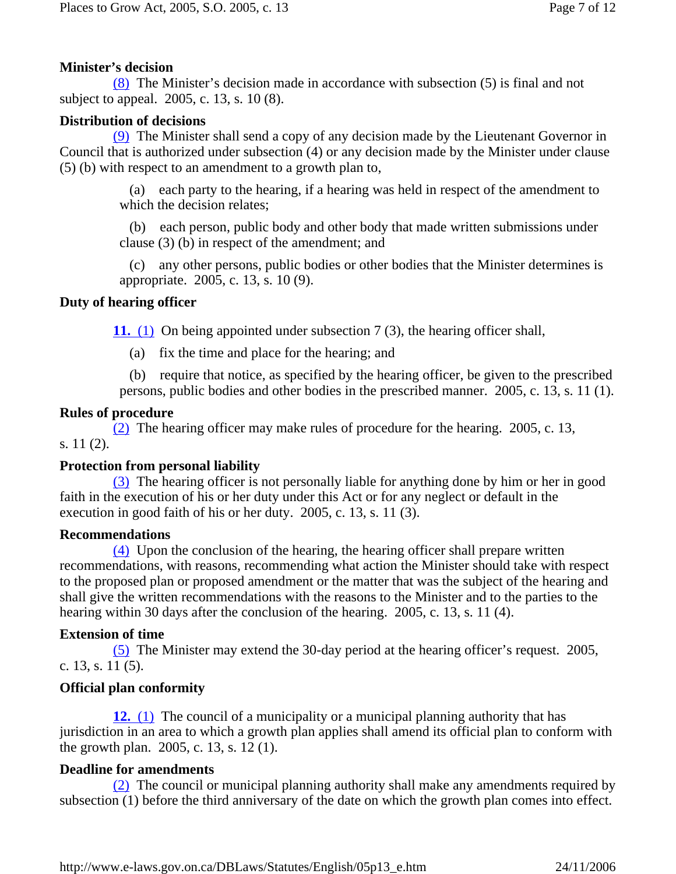# **Minister's decision**

 (8) The Minister's decision made in accordance with subsection (5) is final and not subject to appeal. 2005, c. 13, s. 10 (8).

# **Distribution of decisions**

 (9) The Minister shall send a copy of any decision made by the Lieutenant Governor in Council that is authorized under subsection (4) or any decision made by the Minister under clause (5) (b) with respect to an amendment to a growth plan to,

> (a) each party to the hearing, if a hearing was held in respect of the amendment to which the decision relates;

> (b) each person, public body and other body that made written submissions under clause (3) (b) in respect of the amendment; and

> (c) any other persons, public bodies or other bodies that the Minister determines is appropriate. 2005, c. 13, s. 10 (9).

# **Duty of hearing officer**

 **11.** (1) On being appointed under subsection 7 (3), the hearing officer shall,

(a) fix the time and place for the hearing; and

 (b) require that notice, as specified by the hearing officer, be given to the prescribed persons, public bodies and other bodies in the prescribed manner. 2005, c. 13, s. 11 (1).

# **Rules of procedure**

 (2) The hearing officer may make rules of procedure for the hearing. 2005, c. 13, s. 11 (2).

# **Protection from personal liability**

 (3) The hearing officer is not personally liable for anything done by him or her in good faith in the execution of his or her duty under this Act or for any neglect or default in the execution in good faith of his or her duty. 2005, c. 13, s. 11 (3).

# **Recommendations**

 (4) Upon the conclusion of the hearing, the hearing officer shall prepare written recommendations, with reasons, recommending what action the Minister should take with respect to the proposed plan or proposed amendment or the matter that was the subject of the hearing and shall give the written recommendations with the reasons to the Minister and to the parties to the hearing within 30 days after the conclusion of the hearing. 2005, c. 13, s. 11 (4).

# **Extension of time**

 (5) The Minister may extend the 30-day period at the hearing officer's request. 2005, c. 13, s. 11 (5).

# **Official plan conformity**

 **12.** (1) The council of a municipality or a municipal planning authority that has jurisdiction in an area to which a growth plan applies shall amend its official plan to conform with the growth plan. 2005, c. 13, s. 12 (1).

# **Deadline for amendments**

 (2) The council or municipal planning authority shall make any amendments required by subsection (1) before the third anniversary of the date on which the growth plan comes into effect.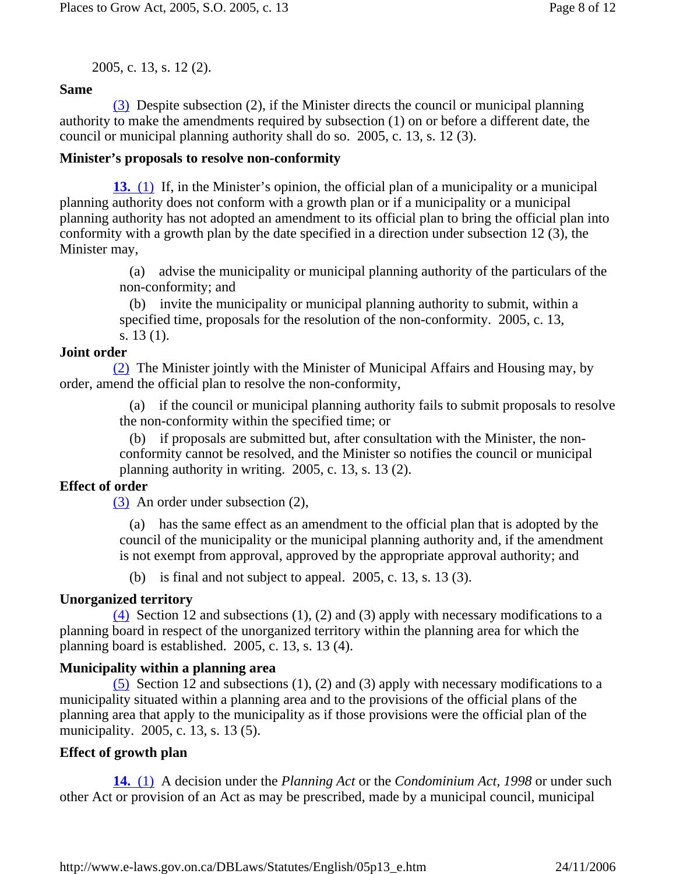2005, c. 13, s. 12 (2).

# **Same**

 (3) Despite subsection (2), if the Minister directs the council or municipal planning authority to make the amendments required by subsection (1) on or before a different date, the council or municipal planning authority shall do so. 2005, c. 13, s. 12 (3).

## **Minister's proposals to resolve non-conformity**

 **13.** (1) If, in the Minister's opinion, the official plan of a municipality or a municipal planning authority does not conform with a growth plan or if a municipality or a municipal planning authority has not adopted an amendment to its official plan to bring the official plan into conformity with a growth plan by the date specified in a direction under subsection 12 (3), the Minister may,

> (a) advise the municipality or municipal planning authority of the particulars of the non-conformity; and

 (b) invite the municipality or municipal planning authority to submit, within a specified time, proposals for the resolution of the non-conformity. 2005, c. 13, s. 13 (1).

# **Joint order**

 (2) The Minister jointly with the Minister of Municipal Affairs and Housing may, by order, amend the official plan to resolve the non-conformity,

> (a) if the council or municipal planning authority fails to submit proposals to resolve the non-conformity within the specified time; or

 (b) if proposals are submitted but, after consultation with the Minister, the nonconformity cannot be resolved, and the Minister so notifies the council or municipal planning authority in writing. 2005, c. 13, s. 13 (2).

# **Effect of order**

(3) An order under subsection (2),

 (a) has the same effect as an amendment to the official plan that is adopted by the council of the municipality or the municipal planning authority and, if the amendment is not exempt from approval, approved by the appropriate approval authority; and

(b) is final and not subject to appeal. 2005, c. 13, s. 13 (3).

# **Unorganized territory**

 $(4)$  Section 12 and subsections (1), (2) and (3) apply with necessary modifications to a planning board in respect of the unorganized territory within the planning area for which the planning board is established. 2005, c. 13, s. 13 (4).

# **Municipality within a planning area**

 $(5)$  Section 12 and subsections (1), (2) and (3) apply with necessary modifications to a municipality situated within a planning area and to the provisions of the official plans of the planning area that apply to the municipality as if those provisions were the official plan of the municipality. 2005, c. 13, s. 13 (5).

# **Effect of growth plan**

 **14.** (1) A decision under the *Planning Act* or the *Condominium Act, 1998* or under such other Act or provision of an Act as may be prescribed, made by a municipal council, municipal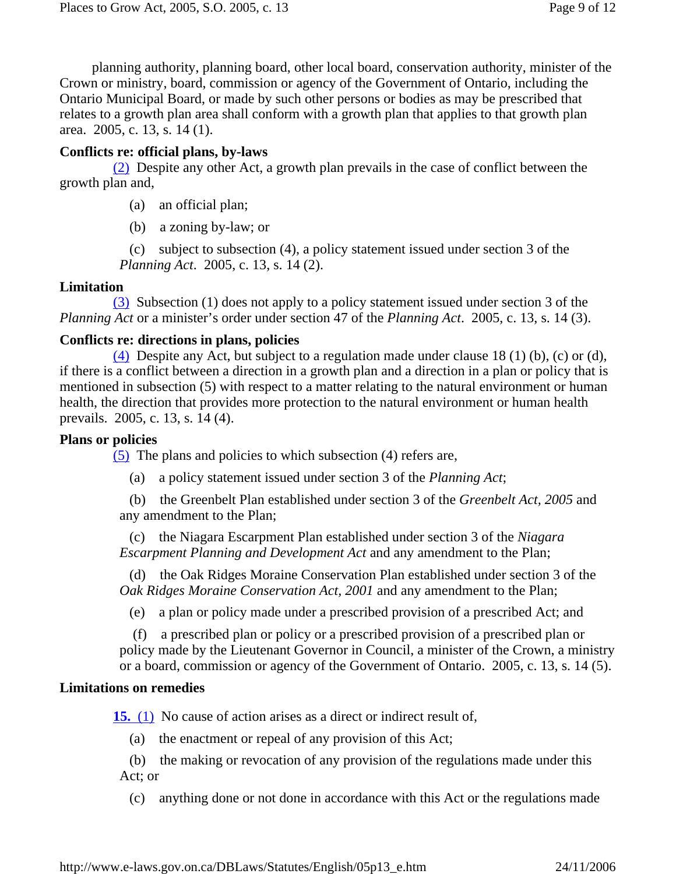planning authority, planning board, other local board, conservation authority, minister of the Crown or ministry, board, commission or agency of the Government of Ontario, including the Ontario Municipal Board, or made by such other persons or bodies as may be prescribed that relates to a growth plan area shall conform with a growth plan that applies to that growth plan area. 2005, c. 13, s. 14 (1).

## **Conflicts re: official plans, by-laws**

 (2) Despite any other Act, a growth plan prevails in the case of conflict between the growth plan and,

- (a) an official plan;
- (b) a zoning by-law; or

 (c) subject to subsection (4), a policy statement issued under section 3 of the *Planning Act*. 2005, c. 13, s. 14 (2).

## **Limitation**

 (3) Subsection (1) does not apply to a policy statement issued under section 3 of the *Planning Act* or a minister's order under section 47 of the *Planning Act*. 2005, c. 13, s. 14 (3).

## **Conflicts re: directions in plans, policies**

(4) Despite any Act, but subject to a regulation made under clause 18 (1) (b), (c) or (d), if there is a conflict between a direction in a growth plan and a direction in a plan or policy that is mentioned in subsection (5) with respect to a matter relating to the natural environment or human health, the direction that provides more protection to the natural environment or human health prevails. 2005, c. 13, s. 14 (4).

## **Plans or policies**

(5) The plans and policies to which subsection (4) refers are,

(a) a policy statement issued under section 3 of the *Planning Act*;

 (b) the Greenbelt Plan established under section 3 of the *Greenbelt Act, 2005* and any amendment to the Plan;

 (c) the Niagara Escarpment Plan established under section 3 of the *Niagara Escarpment Planning and Development Act* and any amendment to the Plan;

 (d) the Oak Ridges Moraine Conservation Plan established under section 3 of the *Oak Ridges Moraine Conservation Act, 2001* and any amendment to the Plan;

(e) a plan or policy made under a prescribed provision of a prescribed Act; and

 (f) a prescribed plan or policy or a prescribed provision of a prescribed plan or policy made by the Lieutenant Governor in Council, a minister of the Crown, a ministry or a board, commission or agency of the Government of Ontario. 2005, c. 13, s. 14 (5).

## **Limitations on remedies**

**15.** (1) No cause of action arises as a direct or indirect result of,

(a) the enactment or repeal of any provision of this Act;

 (b) the making or revocation of any provision of the regulations made under this Act; or

(c) anything done or not done in accordance with this Act or the regulations made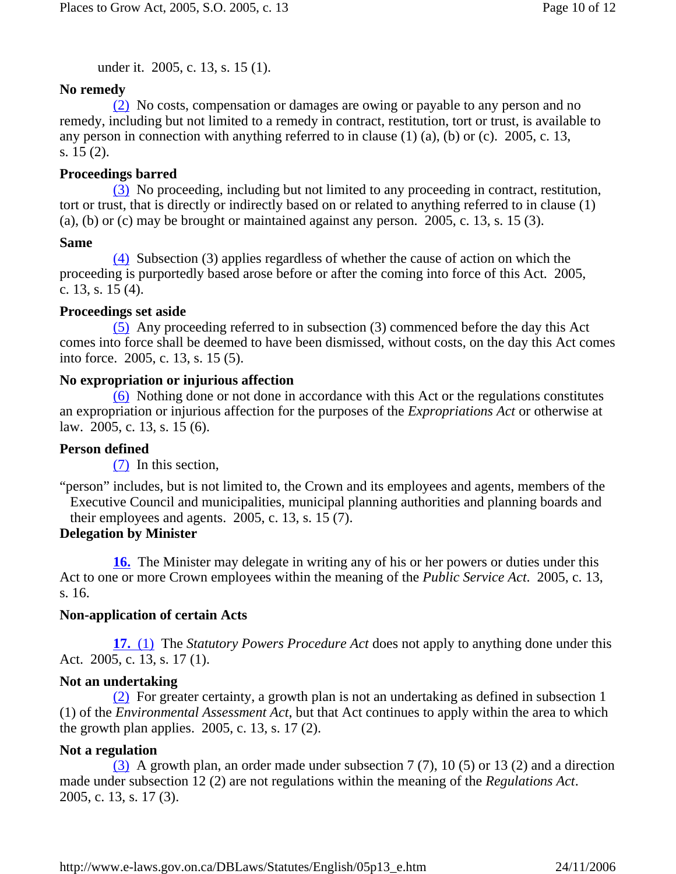under it. 2005, c. 13, s. 15 (1).

### **No remedy**

 (2) No costs, compensation or damages are owing or payable to any person and no remedy, including but not limited to a remedy in contract, restitution, tort or trust, is available to any person in connection with anything referred to in clause (1) (a), (b) or (c). 2005, c. 13, s. 15 (2).

### **Proceedings barred**

 (3) No proceeding, including but not limited to any proceeding in contract, restitution, tort or trust, that is directly or indirectly based on or related to anything referred to in clause (1) (a), (b) or (c) may be brought or maintained against any person.  $2005$ , c. 13, s. 15 (3).

### **Same**

 (4) Subsection (3) applies regardless of whether the cause of action on which the proceeding is purportedly based arose before or after the coming into force of this Act. 2005, c. 13, s. 15 (4).

### **Proceedings set aside**

 (5) Any proceeding referred to in subsection (3) commenced before the day this Act comes into force shall be deemed to have been dismissed, without costs, on the day this Act comes into force. 2005, c. 13, s. 15 (5).

### **No expropriation or injurious affection**

 (6) Nothing done or not done in accordance with this Act or the regulations constitutes an expropriation or injurious affection for the purposes of the *Expropriations Act* or otherwise at law. 2005, c. 13, s. 15 (6).

### **Person defined**

(7) In this section,

"person" includes, but is not limited to, the Crown and its employees and agents, members of the Executive Council and municipalities, municipal planning authorities and planning boards and their employees and agents.  $2005$ , c. 13, s. 15 (7).

### **Delegation by Minister**

 **16.** The Minister may delegate in writing any of his or her powers or duties under this Act to one or more Crown employees within the meaning of the *Public Service Act*. 2005, c. 13, s. 16.

### **Non-application of certain Acts**

 **17.** (1) The *Statutory Powers Procedure Act* does not apply to anything done under this Act. 2005, c. 13, s. 17 (1).

#### **Not an undertaking**

 (2) For greater certainty, a growth plan is not an undertaking as defined in subsection 1 (1) of the *Environmental Assessment Act*, but that Act continues to apply within the area to which the growth plan applies. 2005, c. 13, s. 17 (2).

### **Not a regulation**

 (3) A growth plan, an order made under subsection 7 (7), 10 (5) or 13 (2) and a direction made under subsection 12 (2) are not regulations within the meaning of the *Regulations Act*. 2005, c. 13, s. 17 (3).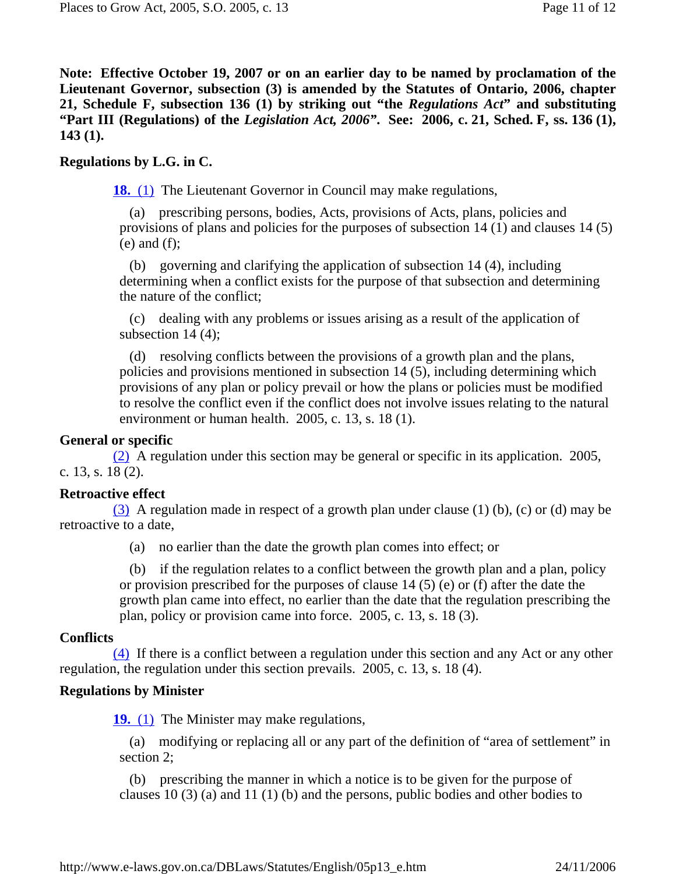**Note: Effective October 19, 2007 or on an earlier day to be named by proclamation of the Lieutenant Governor, subsection (3) is amended by the Statutes of Ontario, 2006, chapter 21, Schedule F, subsection 136 (1) by striking out "the** *Regulations Act***" and substituting "Part III (Regulations) of the** *Legislation Act, 2006"***. See: 2006, c. 21, Sched. F, ss. 136 (1), 143 (1).** 

### **Regulations by L.G. in C.**

**18.** (1) The Lieutenant Governor in Council may make regulations,

 (a) prescribing persons, bodies, Acts, provisions of Acts, plans, policies and provisions of plans and policies for the purposes of subsection 14 (1) and clauses 14 (5)  $(e)$  and  $(f)$ ;

 (b) governing and clarifying the application of subsection 14 (4), including determining when a conflict exists for the purpose of that subsection and determining the nature of the conflict;

 (c) dealing with any problems or issues arising as a result of the application of subsection 14 (4);

 (d) resolving conflicts between the provisions of a growth plan and the plans, policies and provisions mentioned in subsection 14 (5), including determining which provisions of any plan or policy prevail or how the plans or policies must be modified to resolve the conflict even if the conflict does not involve issues relating to the natural environment or human health. 2005, c. 13, s. 18 (1).

#### **General or specific**

 (2) A regulation under this section may be general or specific in its application. 2005, c. 13, s. 18 (2).

#### **Retroactive effect**

(3) A regulation made in respect of a growth plan under clause (1) (b), (c) or (d) may be retroactive to a date,

(a) no earlier than the date the growth plan comes into effect; or

 (b) if the regulation relates to a conflict between the growth plan and a plan, policy or provision prescribed for the purposes of clause 14 (5) (e) or (f) after the date the growth plan came into effect, no earlier than the date that the regulation prescribing the plan, policy or provision came into force. 2005, c. 13, s. 18 (3).

### **Conflicts**

 (4) If there is a conflict between a regulation under this section and any Act or any other regulation, the regulation under this section prevails. 2005, c. 13, s. 18 (4).

#### **Regulations by Minister**

**19.** (1) The Minister may make regulations,

 (a) modifying or replacing all or any part of the definition of "area of settlement" in section 2;

 (b) prescribing the manner in which a notice is to be given for the purpose of clauses 10 (3) (a) and 11 (1) (b) and the persons, public bodies and other bodies to